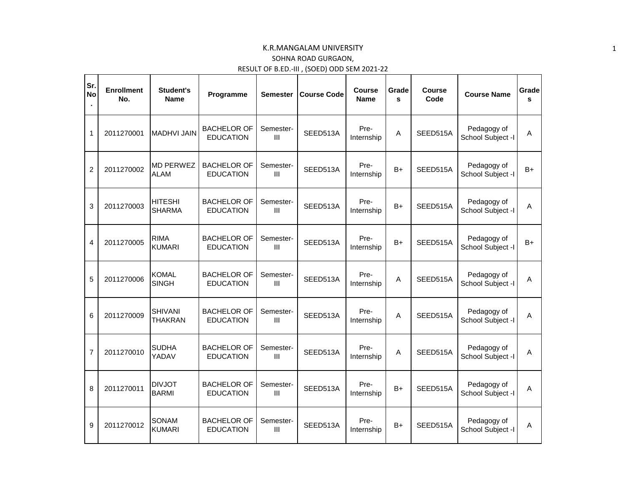## K.R.MANGALAM UNIVERSITY SOHNA ROAD GURGAON, RESULT OF B.ED.-III , (SOED) ODD SEM 2021-22

| Sr.<br><b>No</b> | <b>Enrollment</b><br>No. | Student's<br><b>Name</b>         | Programme                              | <b>Semester</b>             | <b>Course Code</b> | Course<br><b>Name</b> | Grade<br>s   | Course<br>Code | <b>Course Name</b>               | Grade<br>s |
|------------------|--------------------------|----------------------------------|----------------------------------------|-----------------------------|--------------------|-----------------------|--------------|----------------|----------------------------------|------------|
| $\mathbf{1}$     | 2011270001               | <b>MADHVI JAIN</b>               | <b>BACHELOR OF</b><br><b>EDUCATION</b> | Semester-<br>$\mathbf{III}$ | SEED513A           | Pre-<br>Internship    | $\mathsf{A}$ | SEED515A       | Pedagogy of<br>School Subject -I | A          |
| $\overline{2}$   | 2011270002               | <b>MD PERWEZ</b><br><b>ALAM</b>  | <b>BACHELOR OF</b><br><b>EDUCATION</b> | Semester-<br>III            | SEED513A           | Pre-<br>Internship    | $B+$         | SEED515A       | Pedagogy of<br>School Subject -I | $B+$       |
| 3                | 2011270003               | <b>HITESHI</b><br><b>SHARMA</b>  | <b>BACHELOR OF</b><br><b>EDUCATION</b> | Semester-<br>III            | SEED513A           | Pre-<br>Internship    | $B+$         | SEED515A       | Pedagogy of<br>School Subject -I | A          |
| 4                | 2011270005               | <b>RIMA</b><br><b>KUMARI</b>     | <b>BACHELOR OF</b><br><b>EDUCATION</b> | Semester-<br>$\mathbf{III}$ | SEED513A           | Pre-<br>Internship    | $B+$         | SEED515A       | Pedagogy of<br>School Subject -I | B+         |
| 5                | 2011270006               | <b>KOMAL</b><br><b>SINGH</b>     | BACHELOR OF<br><b>EDUCATION</b>        | Semester-<br>$\mathbf{III}$ | SEED513A           | Pre-<br>Internship    | A            | SEED515A       | Pedagogy of<br>School Subject -I | A          |
| 6                | 2011270009               | <b>SHIVANI</b><br><b>THAKRAN</b> | <b>BACHELOR OF</b><br><b>EDUCATION</b> | Semester-<br>III            | SEED513A           | Pre-<br>Internship    | A            | SEED515A       | Pedagogy of<br>School Subject -I | A          |
| $\overline{7}$   | 2011270010               | <b>SUDHA</b><br>YADAV            | <b>BACHELOR OF</b><br><b>EDUCATION</b> | Semester-<br>III            | SEED513A           | Pre-<br>Internship    | Α            | SEED515A       | Pedagogy of<br>School Subject -I | A          |
| 8                | 2011270011               | <b>DIVJOT</b><br><b>BARMI</b>    | <b>BACHELOR OF</b><br><b>EDUCATION</b> | Semester-<br>$\mathbf{III}$ | SEED513A           | Pre-<br>Internship    | $B+$         | SEED515A       | Pedagogy of<br>School Subject -I | A          |
| 9                | 2011270012               | SONAM<br><b>KUMARI</b>           | <b>BACHELOR OF</b><br><b>EDUCATION</b> | Semester-<br>$\mathbf{III}$ | SEED513A           | Pre-<br>Internship    | $B+$         | SEED515A       | Pedagogy of<br>School Subject -I | A          |

1